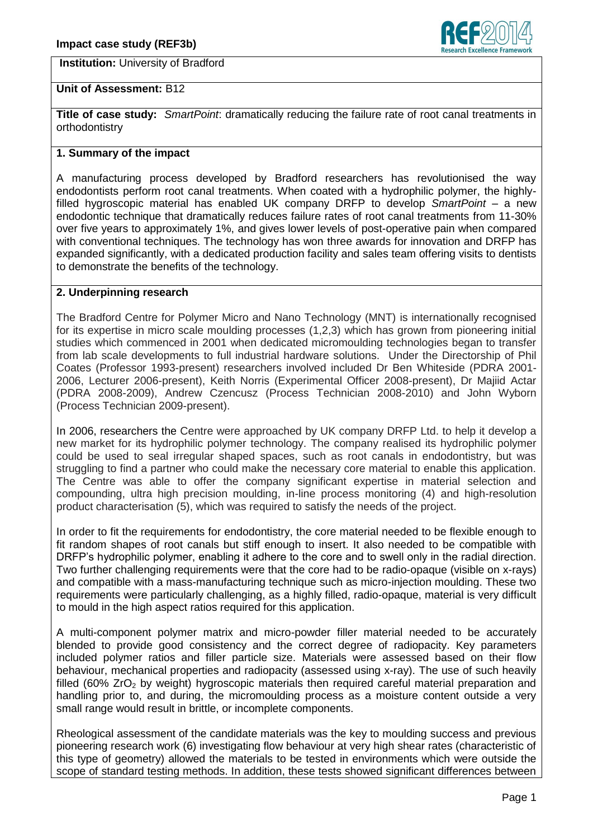**Institution:** University of Bradford



## **Unit of Assessment:** B12

**Title of case study:** *SmartPoint*: dramatically reducing the failure rate of root canal treatments in orthodontistry

### **1. Summary of the impact**

A manufacturing process developed by Bradford researchers has revolutionised the way endodontists perform root canal treatments. When coated with a hydrophilic polymer, the highlyfilled hygroscopic material has enabled UK company DRFP to develop *SmartPoint* – a new endodontic technique that dramatically reduces failure rates of root canal treatments from 11-30% over five years to approximately 1%, and gives lower levels of post-operative pain when compared with conventional techniques. The technology has won three awards for innovation and DRFP has expanded significantly, with a dedicated production facility and sales team offering visits to dentists to demonstrate the benefits of the technology.

# **2. Underpinning research**

The Bradford Centre for Polymer Micro and Nano Technology (MNT) is internationally recognised for its expertise in micro scale moulding processes (1,2,3) which has grown from pioneering initial studies which commenced in 2001 when dedicated micromoulding technologies began to transfer from lab scale developments to full industrial hardware solutions. Under the Directorship of Phil Coates (Professor 1993-present) researchers involved included Dr Ben Whiteside (PDRA 2001- 2006, Lecturer 2006-present), Keith Norris (Experimental Officer 2008-present), Dr Majiid Actar (PDRA 2008-2009), Andrew Czencusz (Process Technician 2008-2010) and John Wyborn (Process Technician 2009-present).

In 2006, researchers the Centre were approached by UK company DRFP Ltd. to help it develop a new market for its hydrophilic polymer technology. The company realised its hydrophilic polymer could be used to seal irregular shaped spaces, such as root canals in endodontistry, but was struggling to find a partner who could make the necessary core material to enable this application. The Centre was able to offer the company significant expertise in material selection and compounding, ultra high precision moulding, in-line process monitoring (4) and high-resolution product characterisation (5), which was required to satisfy the needs of the project.

In order to fit the requirements for endodontistry, the core material needed to be flexible enough to fit random shapes of root canals but stiff enough to insert. It also needed to be compatible with DRFP's hydrophilic polymer, enabling it adhere to the core and to swell only in the radial direction. Two further challenging requirements were that the core had to be radio-opaque (visible on x-rays) and compatible with a mass-manufacturing technique such as micro-injection moulding. These two requirements were particularly challenging, as a highly filled, radio-opaque, material is very difficult to mould in the high aspect ratios required for this application.

A multi-component polymer matrix and micro-powder filler material needed to be accurately blended to provide good consistency and the correct degree of radiopacity. Key parameters included polymer ratios and filler particle size. Materials were assessed based on their flow behaviour, mechanical properties and radiopacity (assessed using x-ray). The use of such heavily filled (60%  $ZrO<sub>2</sub>$  by weight) hygroscopic materials then required careful material preparation and handling prior to, and during, the micromoulding process as a moisture content outside a very small range would result in brittle, or incomplete components.

Rheological assessment of the candidate materials was the key to moulding success and previous pioneering research work (6) investigating flow behaviour at very high shear rates (characteristic of this type of geometry) allowed the materials to be tested in environments which were outside the scope of standard testing methods. In addition, these tests showed significant differences between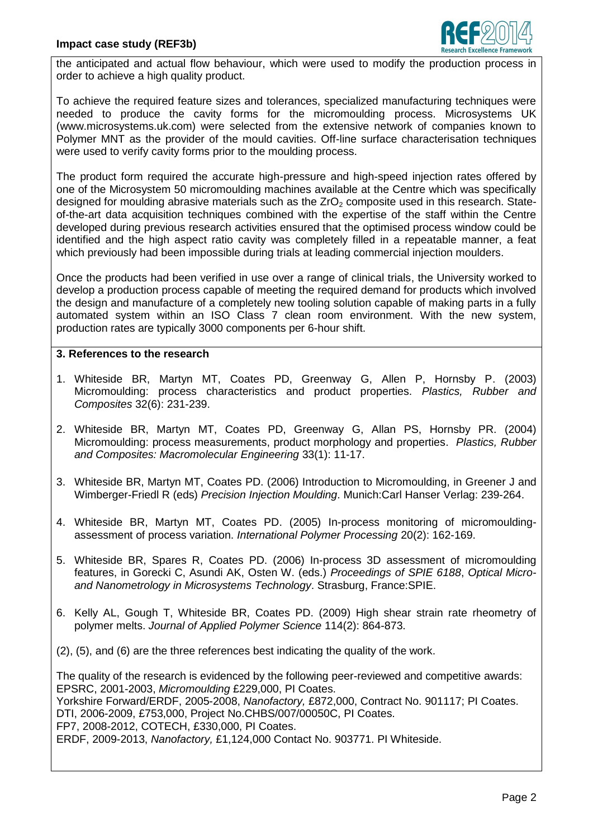

the anticipated and actual flow behaviour, which were used to modify the production process in order to achieve a high quality product.

To achieve the required feature sizes and tolerances, specialized manufacturing techniques were needed to produce the cavity forms for the micromoulding process. Microsystems UK (www.microsystems.uk.com) were selected from the extensive network of companies known to Polymer MNT as the provider of the mould cavities. Off-line surface characterisation techniques were used to verify cavity forms prior to the moulding process.

The product form required the accurate high-pressure and high-speed injection rates offered by one of the Microsystem 50 micromoulding machines available at the Centre which was specifically designed for moulding abrasive materials such as the  $ZrO<sub>2</sub>$  composite used in this research. Stateof-the-art data acquisition techniques combined with the expertise of the staff within the Centre developed during previous research activities ensured that the optimised process window could be identified and the high aspect ratio cavity was completely filled in a repeatable manner, a feat which previously had been impossible during trials at leading commercial injection moulders.

Once the products had been verified in use over a range of clinical trials, the University worked to develop a production process capable of meeting the required demand for products which involved the design and manufacture of a completely new tooling solution capable of making parts in a fully automated system within an ISO Class 7 clean room environment. With the new system, production rates are typically 3000 components per 6-hour shift.

#### **3. References to the research**

- 1. Whiteside BR, Martyn MT, Coates PD, Greenway G, Allen P, Hornsby P. (2003) Micromoulding: process characteristics and product properties. *Plastics, Rubber and Composites* 32(6): 231-239.
- 2. Whiteside BR, Martyn MT, Coates PD, Greenway G, Allan PS, Hornsby PR. (2004) Micromoulding: process measurements, product morphology and properties. *Plastics, Rubber and Composites: Macromolecular Engineering* 33(1): 11-17.
- 3. Whiteside BR, Martyn MT, Coates PD. (2006) Introduction to Micromoulding, in Greener J and Wimberger-Friedl R (eds) *Precision Injection Moulding*. Munich:Carl Hanser Verlag: 239-264.
- 4. Whiteside BR, Martyn MT, Coates PD. (2005) In-process monitoring of micromouldingassessment of process variation. *International Polymer Processing* 20(2): 162-169.
- 5. Whiteside BR, Spares R, Coates PD. (2006) In-process 3D assessment of micromoulding features, in Gorecki C, Asundi AK, Osten W. (eds.) *Proceedings of SPIE 6188*, *Optical Microand Nanometrology in Microsystems Technology*. Strasburg, France:SPIE.
- 6. Kelly AL, Gough T, Whiteside BR, Coates PD. (2009) High shear strain rate rheometry of polymer melts. *Journal of Applied Polymer Science* 114(2): 864-873.
- (2), (5), and (6) are the three references best indicating the quality of the work.

The quality of the research is evidenced by the following peer-reviewed and competitive awards: EPSRC, 2001-2003, *Micromoulding* £229,000, PI Coates. Yorkshire Forward/ERDF, 2005-2008, *Nanofactory,* £872,000, Contract No. 901117; PI Coates. DTI, 2006-2009, £753,000, Project No.CHBS/007/00050C, PI Coates. FP7, 2008-2012, COTECH, £330,000, PI Coates. ERDF, 2009-2013, *Nanofactory,* £1,124,000 Contact No. 903771. PI Whiteside.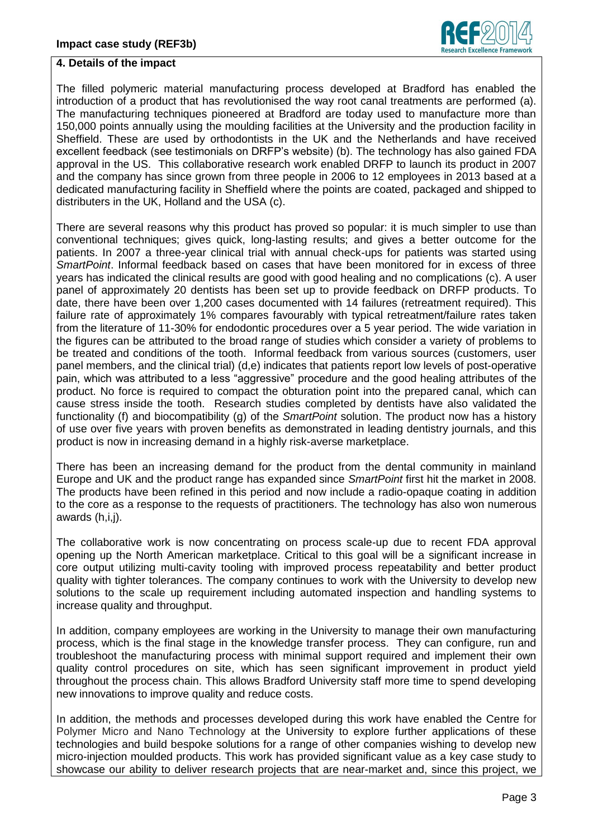

### **4. Details of the impact**

The filled polymeric material manufacturing process developed at Bradford has enabled the introduction of a product that has revolutionised the way root canal treatments are performed (a). The manufacturing techniques pioneered at Bradford are today used to manufacture more than 150,000 points annually using the moulding facilities at the University and the production facility in Sheffield. These are used by orthodontists in the UK and the Netherlands and have received excellent feedback (see testimonials on DRFP's website) (b). The technology has also gained FDA approval in the US. This collaborative research work enabled DRFP to launch its product in 2007 and the company has since grown from three people in 2006 to 12 employees in 2013 based at a dedicated manufacturing facility in Sheffield where the points are coated, packaged and shipped to distributers in the UK, Holland and the USA (c).

There are several reasons why this product has proved so popular: it is much simpler to use than conventional techniques; gives quick, long-lasting results; and gives a better outcome for the patients. In 2007 a three-year clinical trial with annual check-ups for patients was started using *SmartPoint*. Informal feedback based on cases that have been monitored for in excess of three years has indicated the clinical results are good with good healing and no complications (c). A user panel of approximately 20 dentists has been set up to provide feedback on DRFP products. To date, there have been over 1,200 cases documented with 14 failures (retreatment required). This failure rate of approximately 1% compares favourably with typical retreatment/failure rates taken from the literature of 11-30% for endodontic procedures over a 5 year period. The wide variation in the figures can be attributed to the broad range of studies which consider a variety of problems to be treated and conditions of the tooth. Informal feedback from various sources (customers, user panel members, and the clinical trial) (d,e) indicates that patients report low levels of post-operative pain, which was attributed to a less "aggressive" procedure and the good healing attributes of the product. No force is required to compact the obturation point into the prepared canal, which can cause stress inside the tooth. Research studies completed by dentists have also validated the functionality (f) and biocompatibility (g) of the *SmartPoint* solution. The product now has a history of use over five years with proven benefits as demonstrated in leading dentistry journals, and this product is now in increasing demand in a highly risk-averse marketplace.

There has been an increasing demand for the product from the dental community in mainland Europe and UK and the product range has expanded since *SmartPoint* first hit the market in 2008. The products have been refined in this period and now include a radio-opaque coating in addition to the core as a response to the requests of practitioners. The technology has also won numerous awards (h,i,j).

The collaborative work is now concentrating on process scale-up due to recent FDA approval opening up the North American marketplace. Critical to this goal will be a significant increase in core output utilizing multi-cavity tooling with improved process repeatability and better product quality with tighter tolerances. The company continues to work with the University to develop new solutions to the scale up requirement including automated inspection and handling systems to increase quality and throughput.

In addition, company employees are working in the University to manage their own manufacturing process, which is the final stage in the knowledge transfer process. They can configure, run and troubleshoot the manufacturing process with minimal support required and implement their own quality control procedures on site, which has seen significant improvement in product yield throughout the process chain. This allows Bradford University staff more time to spend developing new innovations to improve quality and reduce costs.

In addition, the methods and processes developed during this work have enabled the Centre for Polymer Micro and Nano Technology at the University to explore further applications of these technologies and build bespoke solutions for a range of other companies wishing to develop new micro-injection moulded products. This work has provided significant value as a key case study to showcase our ability to deliver research projects that are near-market and, since this project, we